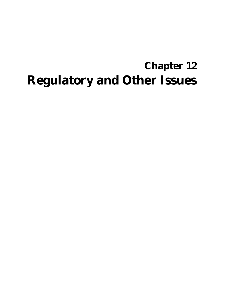# **Chapter 12 Regulatory and Other Issues**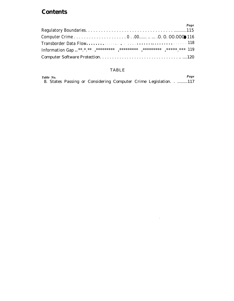## **Contents**

|  |  | Page |
|--|--|------|
|  |  |      |
|  |  |      |
|  |  |      |
|  |  |      |
|  |  |      |

#### ${\bf TABLE}$

| Table No. |  |                                                                |  |  | Page |
|-----------|--|----------------------------------------------------------------|--|--|------|
|           |  | 8. States Passing or Considering Computer Crime Legislation117 |  |  |      |

 $\sim 10^{-11}$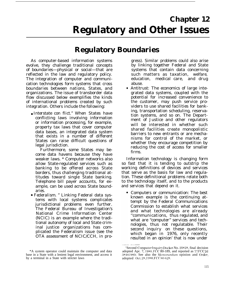# **Chapter 12 Regulatory and Other Issues**

# **Regulatory Boundaries**

As computer-based information systems evolve, they challenge traditional concepts of boundaries—physical or social—that are reflected in the law and regulatory policy. The integration of computer and communication technologies form systems that cross boundaries between nations, States, and organizations. The issue of transborder data flow discussed below exemplifies the kinds of international problems created by such integration. Others include the following:

● *Interstate con flict."* When States have conflicting laws involving information or information processing, for example, property tax laws that cover computer data bases, an integrated data system that exists in a number of different States can raise difficult questions of legal jurisdiction.

Furthermore, some States may become data havens because they have weaker laws. \* Computer networks also allow State-regulated services such as banking to be offered across State borders, thus challenging traditional attitudes toward single State banking. Telephone bill payer accounts, for example, can be used across State boundaries.

c *Federalism. "* Linking Federal data systems with local systems complicates jurisdictional problems even further. The Federal Bureau of Investigation's National Crime Information Center (NCIC) is an example where the traditional autonomy of local and State criminal justice organizations has complicated the Federalism issue (see the OTA assessment of NCIC/CCH, in pro-

\*A system operator could maintain the computer and data base in a State with a lenient legal environment, and access it by a terminal in a State with stricter laws

gress). Similar problems could also arise by linking together Federal and State systems that contain data concerning such matters as taxation, welfare, education, medical care, and drug abuse.

● *Antitrust:* The economics of large integrated data systems, coupled with the potential for increased convenience to the customer, may push service providers to use shared facilities for banking, transportation scheduling, reservation systems, and so on. The Department of Justice and other regulators will be interested in whether such shared facilities create monopolistic barriers to new entrants or are mechanisms for control of the market, or whether they encourage competition by reducing the cost of access for smaller firms.

Information technology is changing form so fast that it is tending to outstrip the working definitions of devices and services that serve as the basis for law and regulation. These definitional problems relate both to the technology itself, and to the products and services that depend on it.

*Computers or communication:* The best known example is the continuing attempt by the Federal Communications Commission to establish what services and what technologies are already ''communications, thus regulated, and what are "computer" services and technologies, thus not regulatable. Their second inquiry on these questions, which began in 1976, only recently resulted in an opinion' that is now under

<sup>...—</sup> 'Second Computer Inquiry Docket No. 20828, final decision adopted Apr. 7, 1980, FCC 80-189, and reported as 77 FCC 2d  $384(1980)$ . See also the Memorandum opinion and Order, adopted Oct. 28, 1980, FCC 80-628.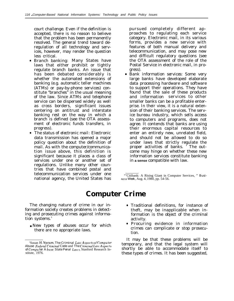court challenge. Even if the definition is accepted, there is no reason to believe that the problem has been permanently resolved. The general trend toward deregulation of all technology and services, however, may render the question less critical.

- *Branch banking:* Many States have laws that either prohibit or tightly regulate branch banks. An issue that has been debated considerably is whether the automated extensions of banking (e.g. automatic teller machines (ATMs) or pay-by-phone services) constitute "branches" in the usual meaning of the law. Since ATMs and telephone service can be dispersed widely as well as cross borders, significant issues centering on antitrust and interstate banking rest on the way in which a branch is defined (see the OTA assessment of electronic funds transfers, in progress).
- *The status of electronic mail:* Electronic data transmission has opened a major policy question about the definition of mail. As with the computer/communication issue above, this definition is significant because it places a class of services under one or another set of regulations. Unlike many other countries that have combined postal and telecommunication services under one national agency, the United States has

pursued completely different approaches to regulating each service category. Electronic mail, in its various forms, provides a new service with features of both manual delivery and telecommunication, and may pose new and difficult regulatory questions (see the OTA assessment of the role of the Postal Service in electronic mail, in progress).

*Bank information services:* Some very large banks have developed elaborate data processing hardware and software to support their operations. They have found that the sale of these products and information services to other smaller banks can be a profitable enterprise. In their view, it is a natural extension of their banking services. The service bureau industry, which sells access to computers and programs, does not agree. It contends that banks are using their enormous capital resources to enter an entirely new, unrelated field, and should not be allowed to do so under laws that strictly regulate the proper activities of banks. ' The outcome may hinge on whether these new information services constitute banking in **a sense** compatible with law.

"'Citibank: A Rising Giant in Computer Services, " *Business Week,* Aug. 4, 1980, pp. 54-56.

# **Computer Crime**

The changing nature of crime in our information society creates problems in detecting and prosecuting crimes against information systems.<sup>3</sup>

• New types of abuses occur for which there are no appropriate laws.

- Traditional definitions, for instance of theft, may be inapplicable when information is the object of the criminal activity.
- Procuring evidence in information crimes can complicate or stop prosecution.

It may be that these problems will be temporary, and that the legal system will shortly be able to accommodate itself to these types of crimes. It has been suggested,

<sup>&#</sup>x27;Susan H, Nvcum. *The Criminal Luu Ast)ects of Computer Abuse: Federal Criminal Code and The Criminal Law Aspects of Compu ter A buse: State Penal Lau's,* Stanford Research Institute, 1976.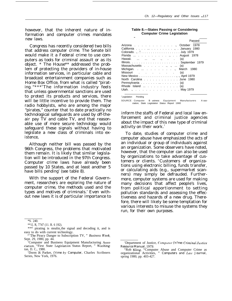however, that the inherent nature of information and computer crimes mandates new laws.

Congress has recently considered two bills that address computer crime. The Senate bill would make it a Federal crime to use computers as tools for criminal assault or as its object. \* The House\*\* addressed the problem of protecting the providers of in-house information services, in particular cable and broadcast entertainment companies such as Home Box Office, from what is called "pirating. "\*\*\* <sup>4</sup>The information industry feels that unless governmental sanctions are used to protect its products and services, there will be little incentive to provide them. The radio hobbyists, who are among the major "pirates," counter that to date practically no technological safeguards are used by off-theair pay TV and cable TV, and that reasonable use of more secure technology would safeguard these signals without having to legislate a new class of criminals into existence,

Although neither bill was passed by the 96th Congress, the problems that motivated them remain. It is likely that similar legislation will be introduced in the 97th Congress. Computer crime laws have already been passed by 10 States, and at least another 5 have bills pending' (see table 8).

With the support of the Federal Government, researchers are exploring the nature of computer crime, the methods used and the types and motives of criminals.' Even without new laws it is of particular importance to

|  |  | Table 8.—States Passing or Considering |
|--|--|----------------------------------------|
|  |  | <b>Computer Crime Legislation</b>      |

| Passed                                                |
|-------------------------------------------------------|
| Arizona October 1978                                  |
| California January 1980                               |
|                                                       |
| Florida  August 1978                                  |
| Hawaii.    .,<br>(a)                                  |
|                                                       |
| Massachusetts, .,  (a)                                |
| Michigan March 1980                                   |
| (a)                                                   |
|                                                       |
| North Carolina June 1980                              |
| Pennsylvania $\ldots \ldots \ldots \ldots \ldots$ (a) |
| Rhode Island  (a)                                     |
| Utah., May 1979                                       |
|                                                       |

<sup>\*</sup>Legislation Pending

SOURCE Computer B usiness Equipment Manufacturers A ssociation, State Legislation Status Report 1980

inform the staffs of Federal and local law enforcement and criminal justice agencies about the impact of this new type of criminal activity on their work.<sup>7</sup>

To date, studies of computer crime and computer abuse have emphasized the acts of an individual or group of individuals against an organization. Some observers have noted, however, that the computer can also be used by organizations to take advantage of customers or clients. "Customers of organizations using electronic billing, funds transfer, or calculating aids (e.g., supermarket scanners) may simply be defrauded. Furthermore, computer systems are used for making many decisions that affect people's lives, from political apportionment to setting pollution standards and assessing the effectiveness and hazards of a new drug. Therefore, there will likely be some temptation for various interests to misuse the systems they run, for their own purposes.

<sup>\*</sup>S. 240.

<sup>\*\*1].</sup> R, 7747 (11. R. 6 192).

<sup>\*\*\*</sup> pirating is stealin<sub>g</sub> the signal and decoding it, and is easy to do with current technology.

<sup>&</sup>quot;The Piracy Danger to Subscription TV, " Business Week, Sept. 29, 1980, pp. 44.

ciation, "First State I,egislation Status Report, " Washing- *Resource Manual, 1979.*

<sup>&#</sup>x27;Dorm B. Parker, *('rime by Computer, Charles Scribners Series, New York, 1976.* 

<sup>&#</sup>x27;Computer and Business Equipment Manufacturing Asso- 'Department of Justice, *Computer ('n"me: Criminal Justice* 

<sup>&</sup>quot;Rob Kling, "Computer Abuse and Computer Crime as organizational Activities, " Computers and Law Journal, spring 1980, pp. 403-427.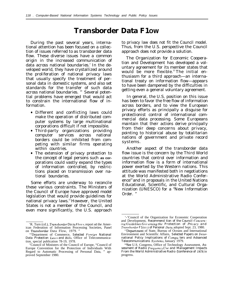# **Transborder Data F1OW**

During the past several years, international attention has been focused on a collection of issues referred to as transborder data flow. These diverse issues have a common origin in the increased communication of data across national boundaries.' In the developed world, they have crystallized around the proliferation of national privacy laws that usually specify the treatment of personal data in domestic systems, and also set standards for the transfer of such data across national boundaries. <sup>10</sup> Several potential problems have emerged that would act to constrain the international flow of information.

- Different and conflicting laws could make the operation of distributed computer systems by large multinational corporations difficult if not impossible.
- Third-party organizations providing computer services across national borders could be inhibited from competing with similar firms operating within countries.
- The extension of privacy protection to the concept of legal persons such **as cor**porations could vastly expand the types of information controlled, by restrictions placed on transmission over national boundaries.

Some efforts are underway to reconcile these various constraints. The Ministers of the Council of Europe have approved model legislation that would provide guidelines for national privacy laws.<sup>11</sup>However, the United States is not a member of the Council, and even more significantly, the U.S. approach

to privacy law does not fit the Council model. Thus, from the U.S. perspective the Council approach does not provide a solution.

The Organization for Economic Cooperation and Development has developed a voluntary agreement for its member states that would be more flexible.<sup>12</sup> The initial enthusiasm for a third approach—an international treaty on information flow—appears to have been dampened by the difficulties in getting even a general voluntary agreement.

In general, the U.S. position on this issue has been to favor the free flow of information across borders, and to view the European privacy efforts as principally a disguise for protectionist control of international commercial data processing. Some Europeans maintain that their actions derive principally from their deep concerns about privacy, pointing to historical abuse by totalitarian nations of government and private record systems.

Another aspect of the transborder data flow issue is the concern by the Third World countries that control over information and information flow is a form of international power exerted by the Western nations. This attitude was manifested both in negotiations at the World Administrative Radio Conference<sup>14</sup> and in proposals in the United Nations Educational, Scientific, and Cultural Organization (UNESCO) for a "New Information Order. "

<sup>&#</sup>x27;R. Turn (cd.), *Transborder Da ta Flows*, report of the American Federation of Information Processing Societies, Panel on Transborder Data Flow, 1979. "

<sup>&#</sup>x27;"Department of Commerce, *Selected I'oreign National Data Protection Laus and Bills,* Office of Telecommunication, special publication 78-19, 1978.

<sup>&#</sup>x27; <sup>i</sup>Council of Ministers of the Council of Europe, "Council of Europe Convention for the Protection of Individuals With Regard to Automatic Processing of Personal Data, " approved September 1980.

<sup>&#</sup>x27;-'Council of the Organization for Economic Cooperation and Development, *Recommend tion of the Council C'oncem ing Guidelines Governing the Protection of Privacy and Transborder F1OUI.S of Personal []ata,* adopted Sept. 23, 1980.

<sup>1&#</sup>x27;Department of State, Bureau of Oceans and International Environment and Scientific Affairs, *Selected Papers on International Policy Implications of Cornpu ters and Adoanced Telecommunications Svsterns,* January 1979.

<sup>&</sup>quot;See U.S. Congress, Office of Technology Assessment, *Assessment of Radio Frequenc)! U.~e and Management Impacts From the World Administrative Radio {'conference of 1979,* in progress.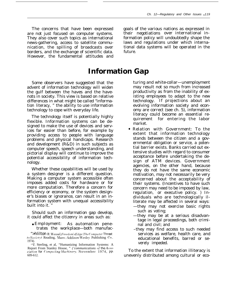The concerns that have been expressed are not just focused on computer systems. They also cover such topics as international news-gathering, access to satellite communication, the spilling of broadcasts over borders, and the exchange of scientific data. However, the fundamental attitudes and goals of the various nations as expressed in their negotiations over international information policy will undoubtedly shape the laws and regulations under which international data systems will be operated in the future.

### **Information Gap**

Some observers have suggested that the advent of information technology will widen the gulf between the haves and the havenots in society. This view is based on relative differences in what might be called "information literacy, " the ability to use information technology to cope with everyday life.

The technology itself is potentially highly flexible. Information systems can be designed to make the use of devices and services far easier than before, for example by providing access to people with language problems and physical handicaps. Research and development  $(R&D)$  in such subjects as computer speech, speech understanding, and pictorial display will continue to improve the potential accessibility of information technology.

Whether these capabilities will be used by a system designer is a different question. Making a computer system accessible often imposes added costs for hardware or for more computation. Therefore a concern for efficiency or economy, or the system designer's biases or ignorance, can result in an information system with unequal accessibility built into it."

Should such an information gap develop, it could affect the citizenry in areas such as:

• *Employment:* As automation penetrates the workplace—both manufac-

">hlilton R.Wessel, Freedom's Edge: The Computer Threat to Society (Reading, Mass.: Addison-Wesley Publishing Co., 1974).

turing and white-collar—unemployment may result not so much from increased productivity as from the inability of existing employees to adapt to the new technology. If projections about an evolving information society and economy are correct (see ch. 5), information literacy could become an essential requirement for entering the labor market.

- Relation with Government: To the extent that information technology stands between the citizen and a governmental obligation or service, a potential barrier exists. Banks carried out extensive studies with regard to consumer acceptance before undertaking the design of ATM devices. Government agencies, on the other hand, because they do not have the same economic motivation, may not necessarily be very concerned about the acceptability of their systems. (Incentives to have such concern may need to be imposed by law, regulation, or executive policy. ) Individuals who are technologically illiterate may be affected in several ways: —they may not exercise basic rights such as voting;
	- —they may be at a serious disadvantage in legal proceedings, both criminal and civil; and
	- -they may find access to such needed services as welfare, health care, and educational benefits, barred or severely impeded.

To the extent that information illiteracy is unevenly distributed among cultural or eco-

<sup>&</sup>lt;sup>15</sup>T Sterling, et al, "Humanizing Information Systems: A Report From Stanley House, " ('communications of the Association for Computing Machinery, November 1974, pp. 609-612.